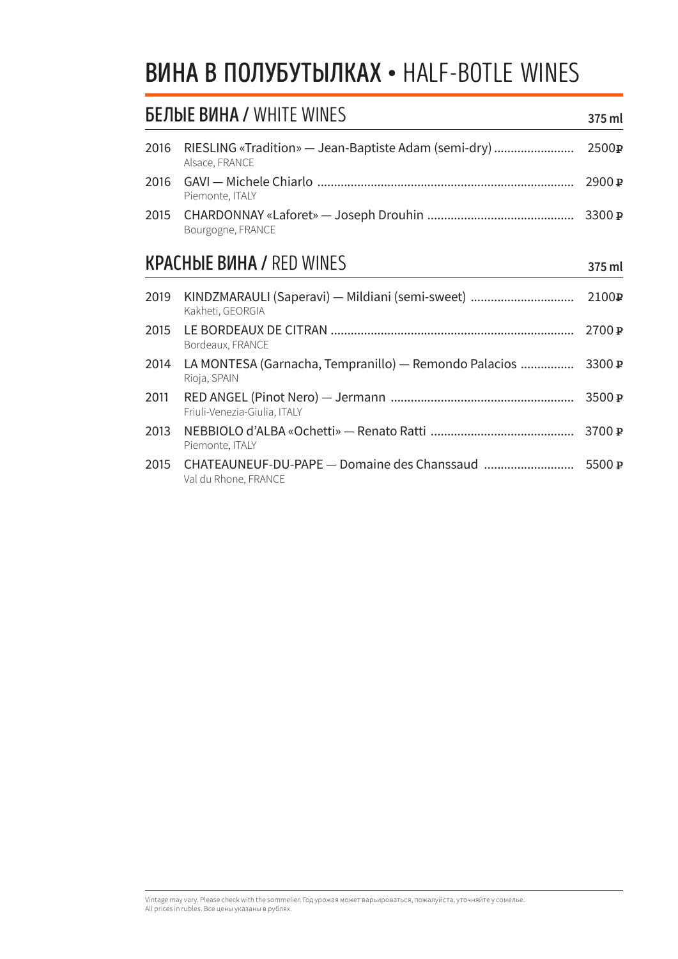#### **ВИНА В ПОЛУБУТЫЛКАХ • HALF-BOTLE WINES**

| <b>БЕЛЫЕ ВИНА / WHITE WINES</b> |                                                                             | 375 ml                |
|---------------------------------|-----------------------------------------------------------------------------|-----------------------|
| 2016                            | RIESLING «Tradition» — Jean-Baptiste Adam (semi-dry)<br>Alsace, FRANCE      | 2500P                 |
| 2016                            | Piemonte, ITALY                                                             | 2900P                 |
| 2015                            | Bourgogne, FRANCE                                                           | 3300 $\mathbb{P}$     |
|                                 | <b>KPACHBIE BUHA / RED WINES</b>                                            | 375 ml                |
| 2019                            | KINDZMARAULI (Saperavi) — Mildiani (semi-sweet)<br>Kakheti, GEORGIA         | 2100P                 |
| 2015                            | Bordeaux, FRANCE                                                            | 2700P                 |
| 2014                            | LA MONTESA (Garnacha, Tempranillo) — Remondo Palacios<br>Rioja, SPAIN       | 3300 $\mathbb{P}$     |
| 2011                            | Friuli-Venezia-Giulia, ITALY                                                | 3500 P                |
| 2013                            | Piemonte, ITALY                                                             | 3700 $\boldsymbol{P}$ |
| 2015                            | CHATEAUNEUF-DU-PAPE - Domaine des Chanssaud  5500 P<br>Val du Rhone, FRANCE |                       |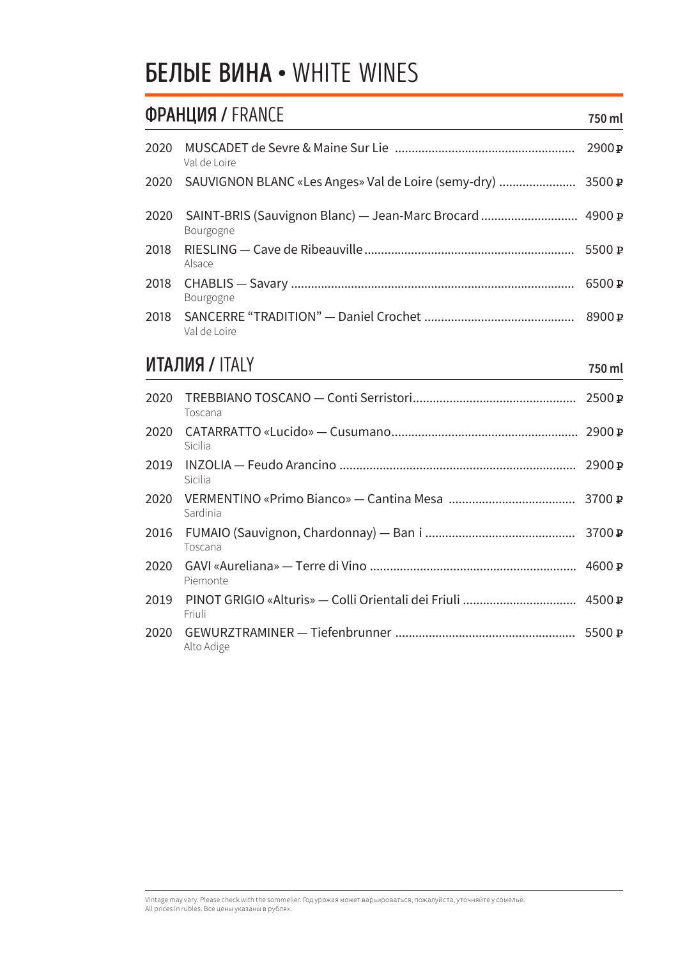#### **БЕЛЫЕ ВИНА • WHITE WINES**

|      | <b>ФРАНЦИЯ / FRANCE</b>                                       | 750 ml           |
|------|---------------------------------------------------------------|------------------|
| 2020 | Val de Loire                                                  | 2900 P           |
| 2020 | SAUVIGNON BLANC «Les Anges» Val de Loire (semy-dry)           | 3500 P           |
| 2020 | SAINT-BRIS (Sauvignon Blanc) — Jean-Marc Brocard<br>Bourgogne | 4900 $\mathbf P$ |
| 2018 | Alsace                                                        | 5500P            |
| 2018 | Bourgogne                                                     | 6500 P           |
| 2018 | Val de Loire                                                  | 8900 P           |
|      | <b>ИТАЛИЯ / ITALY</b>                                         | 750 ml           |
| 2020 | Toscana                                                       | 2500 P           |
| 2020 | Sicilia                                                       |                  |
| 2019 | Sicilia                                                       | 2900P            |
| 2020 | Sardinia                                                      |                  |
| 2016 | Toscana                                                       | 3700 P           |
| 2019 | Friuli                                                        | 4500P            |
| 2020 | Piemonte                                                      | 4600 P           |
| 2020 | Alto Adige                                                    | 5500 P           |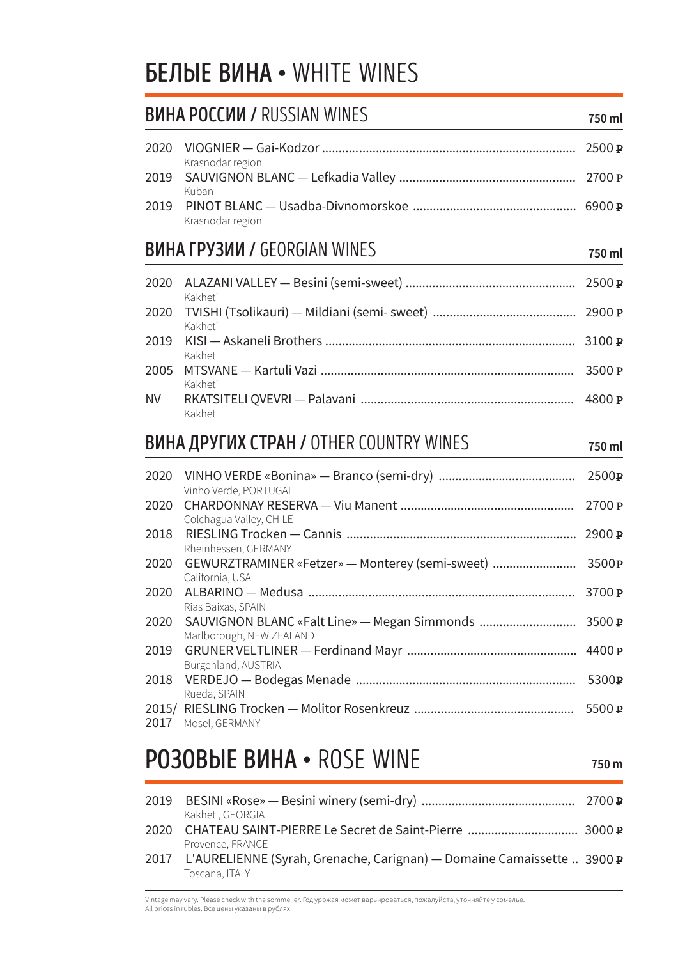#### **БЕЛЫЕ ВИНА • WHITE WINES**

#### **BUHA POCCUU / RUSSIAN WINES** 750 ml

| 2020      | Krasnodar region                                                                |                   |
|-----------|---------------------------------------------------------------------------------|-------------------|
| 2019      | Kuban                                                                           |                   |
| 2019      | Krasnodar region                                                                |                   |
|           | <b>BUHA ГРУЗИИ / GEORGIAN WINES</b>                                             | 750 ml            |
| 2020      | Kakheti                                                                         |                   |
| 2020      | Kakheti                                                                         |                   |
| 2019      | Kakheti                                                                         | 3100 P            |
| 2005      | Kakheti                                                                         | 3500P             |
| <b>NV</b> | Kakheti                                                                         |                   |
|           |                                                                                 |                   |
|           | <b>ВИНА ДРУГИХ СТРАН / OTHER COUNTRY WINES</b>                                  | 750 ml            |
| 2020      |                                                                                 | 2500 p            |
| 2020      | Vinho Verde, PORTUGAL                                                           | 2700 p            |
| 2020      | Colchagua Valley, CHILE                                                         |                   |
| 2020      | Rheinhessen, GERMANY<br>GEWURZTRAMINER «Fetzer» - Monterey (semi-sweet)  3500 p |                   |
| 2020      | California, USA                                                                 |                   |
| 2020      | Marlborough, NEW ZEALAND                                                        | 3700 $\mathbf{p}$ |
| 2019      | Rias Baixas, SPAIN                                                              |                   |
| 2018      | Burgenland, AUSTRIA                                                             | 5300 $\mathbf{p}$ |
| 2017      | Rueda, SPAIN<br>Mosel, GERMANY                                                  | 5500 $\mathbf{p}$ |

#### **PO3OBbIE BUHA · ROSE WINE**

750 m

| 2019 BESINI «Rose» — Besini winery (semi-dry) …………………………………………… 2700 р      |  |
|-----------------------------------------------------------------------------|--|
| Kakheti, GEORGIA                                                            |  |
|                                                                             |  |
| Provence, FRANCE                                                            |  |
| 2017 L'AURELIENNE (Syrah, Grenache, Carignan) — Domaine Camaissette  3900 P |  |
| Toscana, ITALY                                                              |  |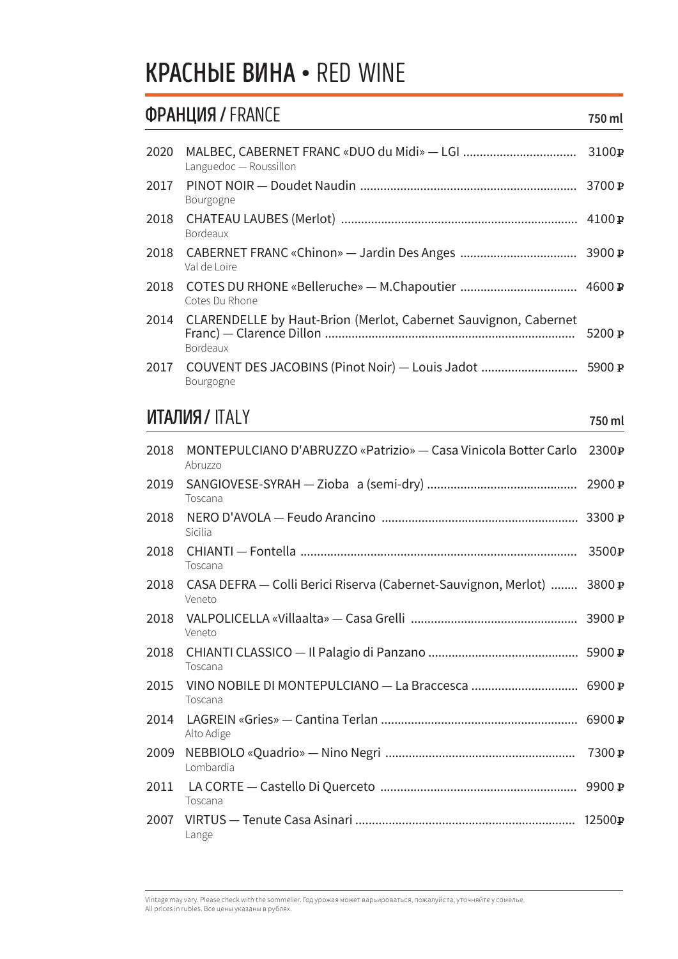#### **KPACHbIE BUHA · RED WINE**

#### **ФРАНЦИЯ / FRANCE**

| 2020 | Languedoc - Roussillon                                                             |                   |
|------|------------------------------------------------------------------------------------|-------------------|
| 2017 | Bourgogne                                                                          |                   |
| 2018 | Val de Loire                                                                       |                   |
| 2018 | <b>Bordeaux</b>                                                                    |                   |
| 2018 | Cotes Du Rhone                                                                     |                   |
| 2014 | CLARENDELLE by Haut-Brion (Merlot, Cabernet Sauvignon, Cabernet<br><b>Bordeaux</b> | 5200 $\mathbf{P}$ |
|      | Bourgogne                                                                          |                   |

#### **ИТАЛИЯ / ITALY**

750 ml

750 ml

| Abruzzo    |                                                                                                                                                  |
|------------|--------------------------------------------------------------------------------------------------------------------------------------------------|
| Toscana    |                                                                                                                                                  |
| Sicilia    |                                                                                                                                                  |
| Toscana    |                                                                                                                                                  |
| Veneto     |                                                                                                                                                  |
| Veneto     |                                                                                                                                                  |
| Toscana    |                                                                                                                                                  |
| Toscana    |                                                                                                                                                  |
| Alto Adige |                                                                                                                                                  |
| Lombardia  |                                                                                                                                                  |
| Toscana    |                                                                                                                                                  |
| Lange      |                                                                                                                                                  |
|            | MONTEPULCIANO D'ABRUZZO «Patrizio» — Casa Vinicola Botter Carlo 2300 P<br>CASA DEFRA — Colli Berici Riserva (Cabernet-Sauvignon, Merlot)  3800 ₽ |

Vintage may vary. Please check with the sommelier. Год урожая может варьироваться, пожалуйста, уточняйте у сомелье.<br>All prices in rubles. Все цены указаны в рублях.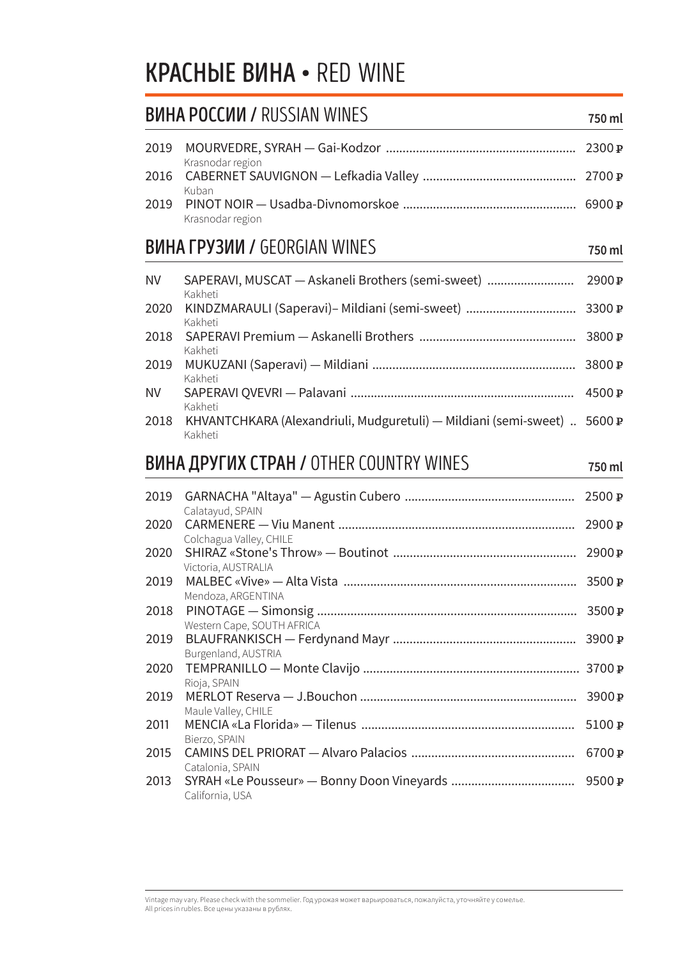#### **KPACHbIE BUHA • RED WINE**

#### **BUHA POCCUU / RUSSIAN WINES** 750 ml Krasnodar region 2016 Kuban Krasnodar region **BUHA ГРУЗИИ / GEORGIAN WINES** 750 ml **NV** SAPERAVI, MUSCAT - Askaneli Brothers (semi-sweet) ............................... 2900 P Kakheti  $2020$ KINDZMADALILI (Caperavi) Mildiani (semi sweet)  $2200n$

| 2020 - KINDZMARAULI (Saperavi)– Mildiani (semi-sweet) …………………………… 3300 P<br>Kakheti     |  |
|-----------------------------------------------------------------------------------------|--|
| Kakheti                                                                                 |  |
| Kakheti                                                                                 |  |
|                                                                                         |  |
| Kakheti<br>2018 KHVANTCHKARA (Alexandriuli, Mudguretuli) — Mildiani (semi-sweet) 5600 P |  |

#### **ВИНА ДРУГИХ СТРАН / OTHER COUNTRY WINES**

Kakheti

| 2019 | Calatayud, SPAIN           |       |
|------|----------------------------|-------|
| 2020 | Colchagua Valley, CHILE    | 2900P |
| 2020 | Victoria, AUSTRALIA        | 2900P |
| 2019 | Mendoza, ARGENTINA         |       |
| 2018 | Western Cape, SOUTH AFRICA |       |
| 2020 | Rioja, SPAIN               |       |
| 2019 | Burgenland, AUSTRIA        |       |
| 2019 | Maule Valley, CHILE        |       |
| 2011 | Bierzo, SPAIN              |       |
| 2015 | Catalonia, SPAIN           | 6700P |
| 2013 | California, USA            |       |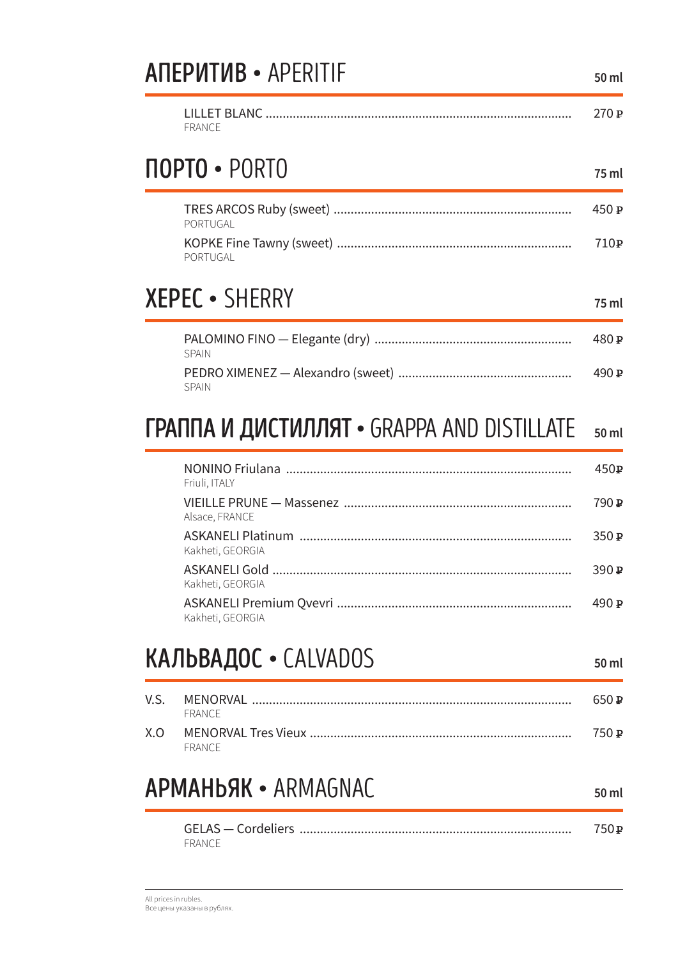#### **ANEPUTUB · APERITIF**

|        | 270 P |
|--------|-------|
| FRANCE |       |

#### **NOPTO · PORTO**

75 ml

50 ml

| PORTUGAL | 450 $\bm{P}$ |
|----------|--------------|
| PORTUGAL | 710 P        |

#### **XEPEC · SHERRY**

75 ml

| <b>SPAIN</b> | 480 P |
|--------------|-------|
| <b>SPAIN</b> | 490 P |

#### ГРАППА И ДИСТИЛЛЯТ • GRAPPA AND DISTILLATE 50 ml

| Friuli, ITALY    | 450P |
|------------------|------|
| Alsace, FRANCE   | 790P |
| Kakheti, GEORGIA | 350P |
| Kakheti, GEORGIA | 390P |
| Kakheti, GEORGIA | 490P |

#### КАЛЬВАДОС • CALVADOS

50 ml

50 ml

|     |        | 650 P |
|-----|--------|-------|
|     | FRANCE |       |
| X.O | FRANCE | 750 P |

#### **APMAHbAK · ARMAGNAC**

|        | 750 P |
|--------|-------|
| FRANCE |       |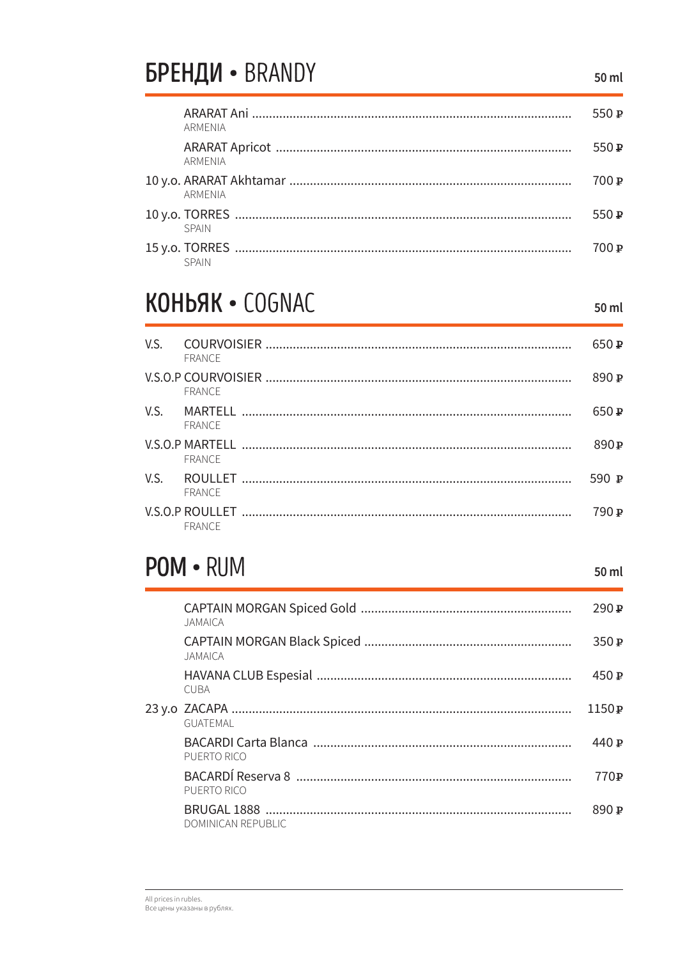### БРЕНДИ • BRANDY

550 P **ARMENIA**  $550P$ **ARMENIA** 700 ₽ **ARMENIA** 550 $\mathbf P$ **SPAIN**  $700P$ **SPAIN** 

### KOHbAK · COGNAC

50 ml

50 ml

| V.S. | COURVOISIER …………………………………………………………………………………………<br>FRANCE | 650P             |
|------|----------------------------------------------------------|------------------|
|      | FRANCE                                                   | 890P             |
| V.S. | FRANCE                                                   | 650P             |
|      | FRANCE                                                   | 890P             |
| V.S. | FRANCE                                                   | 590 $\mathbf{p}$ |
|      | FRANCE                                                   | ם 790            |

#### POM · RUM

 $290P$ **JAMAICA** 350 P JAMAICA 450 P **CUBA**  $1150P$ GUATEMAL 440 P PUERTO RICO 750 ₽ PUERTO RICO  $890P$ **DOMINICAN REPUBLIC**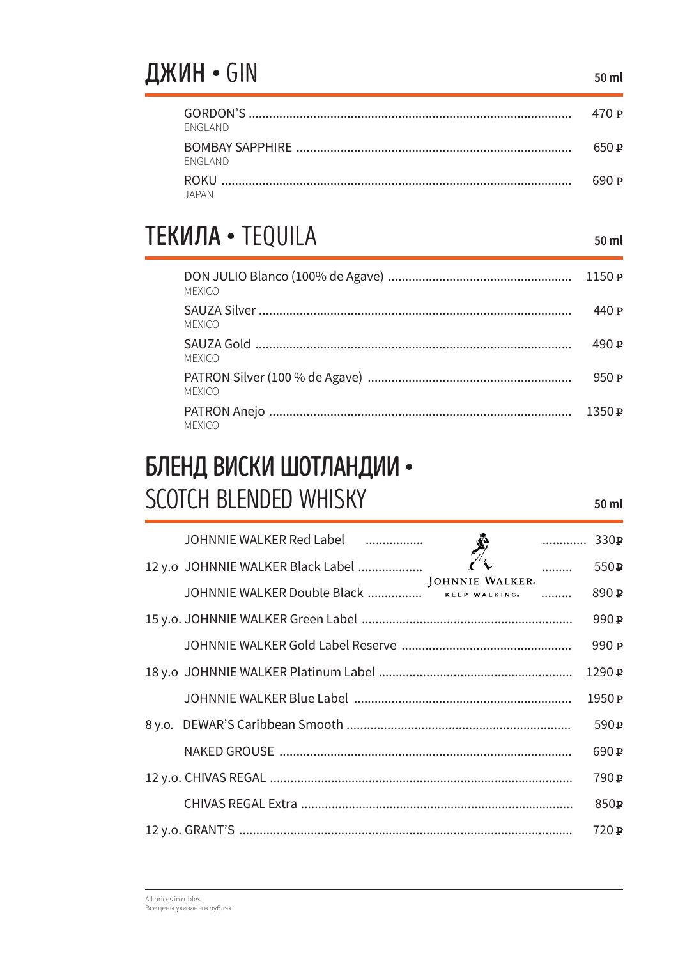### ДЖИН • GIN

| FNGI AND        | 470 P |
|-----------------|-------|
| <b>FNGI AND</b> | 650 P |
| IAPAN           | 690 P |

### **ТЕКИЛА • TEQUILA**

50 ml

| <b>MEXICO</b> | 1150P            |
|---------------|------------------|
| <b>MEXICO</b> | 440P             |
| <b>MEXICO</b> | 490 $\mathbf{p}$ |
| <b>MEXICO</b> | 950 P            |
| <b>MEXICO</b> | 1350P            |

### БЛЕНД ВИСКИ ШОТЛАНДИИ • SCOTCH BLENDED WHISKY

| JOHNNIE WALKER Red Label<br>.                                        | 330P              |
|----------------------------------------------------------------------|-------------------|
| $\overline{\phantom{a}}$<br>12 y.o JOHNNIE WALKER Black Label        | 550 <sub>P</sub>  |
| <b>JOHNNIE WALKER.</b><br>JOHNNIE WALKER Double Black  KEEP WALKING. | 890 P             |
|                                                                      | 990 <sub>P</sub>  |
|                                                                      | 990 P             |
|                                                                      | 1290 P            |
|                                                                      | 1950 <sub>P</sub> |
|                                                                      | 590 <sub>P</sub>  |
|                                                                      | 690 <sub>P</sub>  |
|                                                                      | 790 <sub>P</sub>  |
|                                                                      | 850 <sub>P</sub>  |
|                                                                      | 750 P             |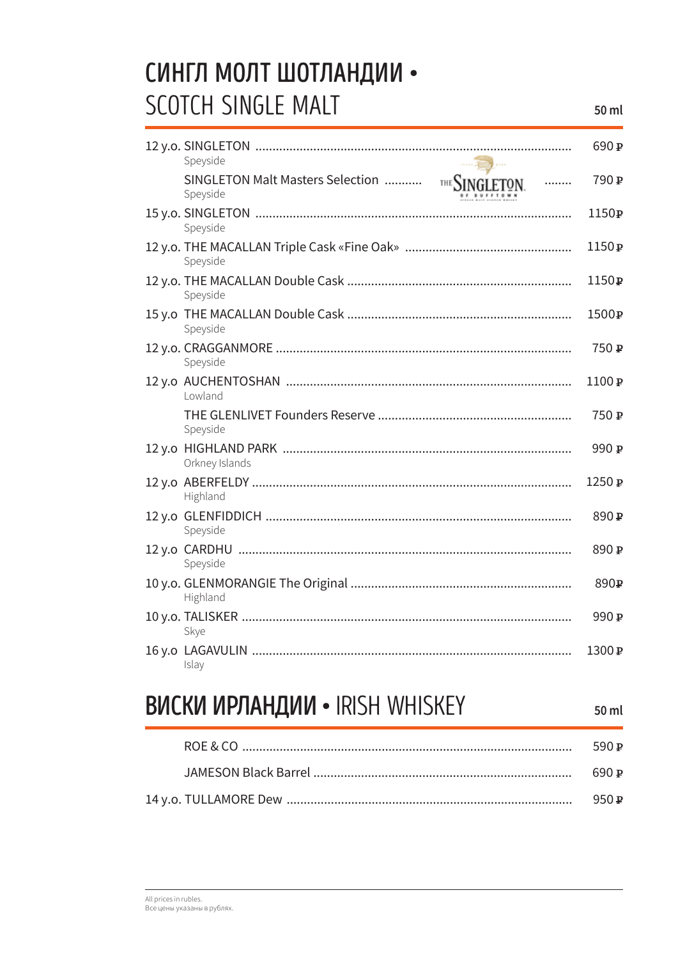### СИНГЛ МОЛТ ШОТЛАНДИИ • SCOTCH SINGLE MALT

|                                                                     | 690 <sub>P</sub>  |
|---------------------------------------------------------------------|-------------------|
| Speyside                                                            |                   |
| SINGLETON Malt Masters Selection<br>THE SINGLETON.<br>.<br>Speyside | 790 P             |
| Speyside                                                            | 1150 <sub>P</sub> |
| Speyside                                                            | 1150 <sub>P</sub> |
| Speyside                                                            | 1150 <sub>P</sub> |
| Speyside                                                            | 1500 <sub>P</sub> |
| Speyside                                                            | 750 P             |
| Lowland                                                             | 1100 <sub>P</sub> |
| Speyside                                                            | 750 P             |
| Orkney Islands                                                      | 990 P             |
| Highland                                                            | 1250 <sub>P</sub> |
| Speyside                                                            | 890 P             |
| Speyside                                                            | 890 P             |
| Highland                                                            | 890 P             |
| Skye                                                                | 990 P             |
| Islay                                                               | 1300 P            |

#### **ВИСКИ ИРЛАНДИИ • IRISH WHISKEY**

50 ml

| 590 P            |
|------------------|
| 690 P            |
| 950 $\mathbf{p}$ |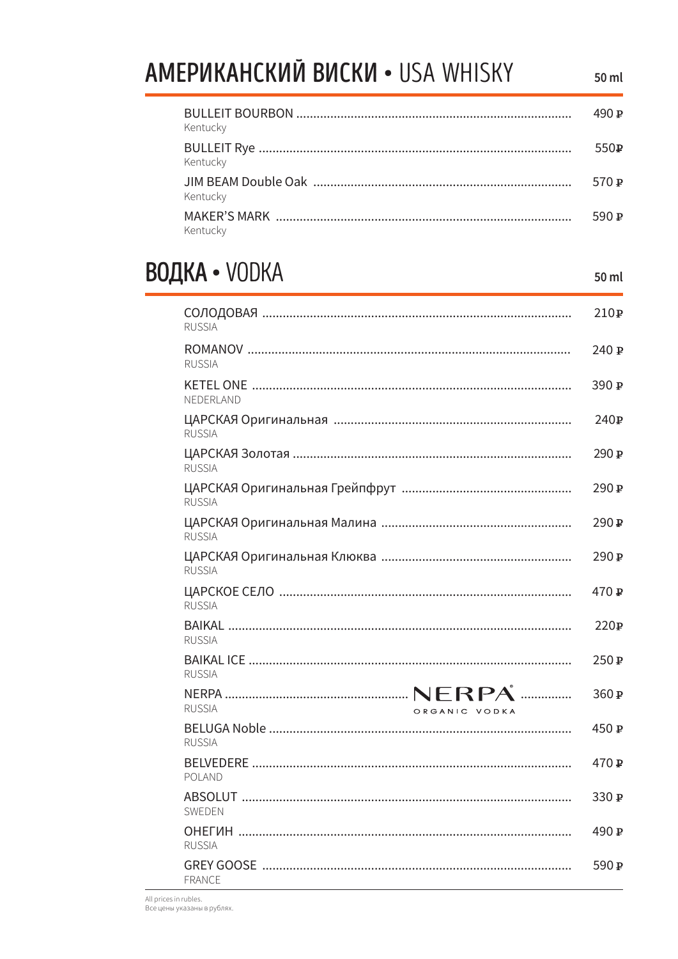#### **АМЕРИКАНСКИЙ ВИСКИ • USA WHISKY** 50 ml 490<sub>P</sub> Kentucky 550 P Kentucky 570 P Kentucky 590 P Kentucky

#### **ВОДКА • VODKA**

50 ml

| <b>RUSSIA</b>                  | 210P             |
|--------------------------------|------------------|
| <b>RUSSIA</b>                  | 240 P            |
| NEDERLAND                      | 390 $\,$ P       |
| <b>RUSSIA</b>                  | 240 $\mathbb{P}$ |
| <b>RUSSIA</b>                  | 290P             |
| <b>RUSSIA</b>                  | 290 ₽            |
| <b>RUSSIA</b>                  | 290 P            |
| <b>RUSSIA</b>                  | 290 ₽            |
| <b>RUSSIA</b>                  | 470 P            |
| <b>RUSSIA</b>                  | 220P             |
| <b>RUSSIA</b>                  | 250₽             |
| <b>RUSSIA</b><br>ORGANIC VODKA | 360 P            |
| <b>RUSSIA</b>                  | 450 P            |
| <b>POLAND</b>                  | 470 P            |
| SWEDEN                         | 330 $\mathbf{P}$ |
| <b>RUSSIA</b>                  | 490 <b>₽</b>     |
| <b>FRANCE</b>                  | 590 P            |

All prices in rubles. Все цены указаны в рублях.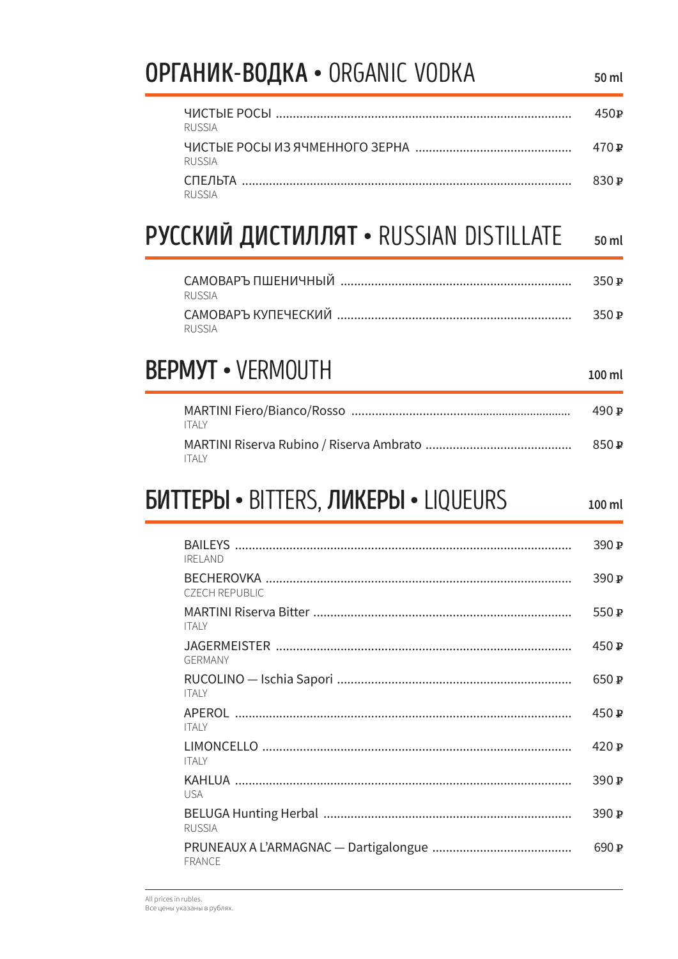#### **ОРГАНИК-ВОДКА • ORGANIC VODKA**  $50<sub>ml</sub>$  $450P$ **RUSSIA**  $470P$ **RUSSIA** 830 P **RUSSIA** РУССКИЙ ДИСТИЛЛЯТ • RUSSIAN DISTILLATE 50 ml  $350P$ **RUSSIA**  $350P$ **RUSSIA BEPMYT • VERMOUTH**  $100 \mathrm{m}$ 490<sub>P</sub> **ITAIY**  $850P$ **ITALY БИТТЕРЫ • BITTERS, ЛИКЕРЫ • LIQUEURS** 50 ml 390 $\mathbf{p}$ **IRELAND**  $390P$ **CZECH REPUBLIC** 550 P **ITALY**  $450P$ GERMANY 650 P **ITALY**  $450P$ **ITAIV** 420 P

 $390P$ 

390 $\mathbb{P}$ 

690<sub>P</sub>

**ITAIY** 

**USA** 

**RUSSIA** 

**FRANCE**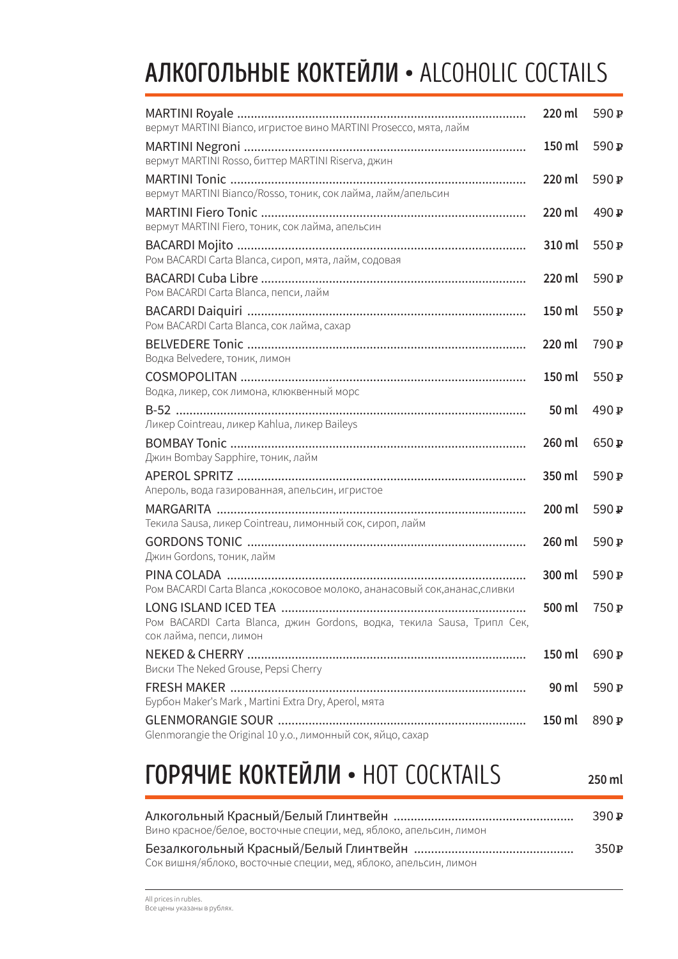# АЛКОГОЛЬНЫЕ КОКТЕЙЛИ • ALCOHOLIC COCTAILS

| вермут MARTINI Bianco, игристое вино MARTINI Prosecco, мята, лайм                                                           | 220 ml | 590 P            |
|-----------------------------------------------------------------------------------------------------------------------------|--------|------------------|
| вермут MARTINI Rosso, биттер MARTINI Riserva, джин                                                                          | 150 ml | 590 P            |
| вермут MARTINI Bianco/Rosso, тоник, сок лайма, лайм/апельсин                                                                | 220 ml | 590 P            |
| вермут MARTINI Fiero, тоник, сок лайма, апельсин                                                                            | 220 ml | 490 P            |
| Ром BACARDI Carta Blanca, сироп, мята, лайм, содовая                                                                        | 310 ml | 550 P            |
| Ром BACARDI Carta Blanca, пепси, лайм                                                                                       | 220 ml | 590 P            |
| Ром BACARDI Carta Blanca, соклайма, сахар                                                                                   | 150 ml | 550 P            |
| Водка Belvedere, тоник, лимон                                                                                               | 220 ml | 790 <sub>P</sub> |
| Водка, ликер, сок лимона, клюквенный морс                                                                                   | 150 ml | 550 P            |
| Ликер Cointreau, ликер Kahlua, ликер Baileys                                                                                | 50 ml  | 490 <sub>P</sub> |
| Джин Bombay Sapphire, тоник, лайм                                                                                           | 260 ml | 650 P            |
| Апероль, вода газированная, апельсин, игристое                                                                              | 350 ml | 590 <sub>P</sub> |
| Текила Sausa, ликер Cointreau, лимонный сок, сироп, лайм                                                                    | 200 ml | 590 P            |
| Джин Gordons, тоник, лайм                                                                                                   | 260 ml | 590 P            |
| Ром BACARDI Carta Blanca, кокосовое молоко, ананасовый сок, ананас, сливки                                                  | 300 ml | 590 P            |
| LONG ISLAND ICED TEA.<br>Ром BACARDI Carta Blanca, джин Gordons, водка, текила Sausa, Трипл Сек,<br>сок лайма, пепси, лимон | 400 ml | 750 P            |
| Виски The Neked Grouse, Pepsi Cherry                                                                                        | 150 ml | 690 P            |
| Бурбон Maker's Mark, Martini Extra Dry, Aperol, мята                                                                        | 90 ml  | 590 P            |
| Glenmorangie the Original 10 у.о., лимонный сок, яйцо, сахар                                                                | 150 ml | 890 P            |
|                                                                                                                             |        |                  |

# ГОРЯЧИЕ КОКТЕЙЛИ • HOT COCKTAILS

| Вино красное/белое, восточные специи, мед, яблоко, апельсин, лимон | 390 P |
|--------------------------------------------------------------------|-------|
|                                                                    | 350 P |
| Сок вишня/яблоко, восточные специи, мед, яблоко, апельсин, лимон   |       |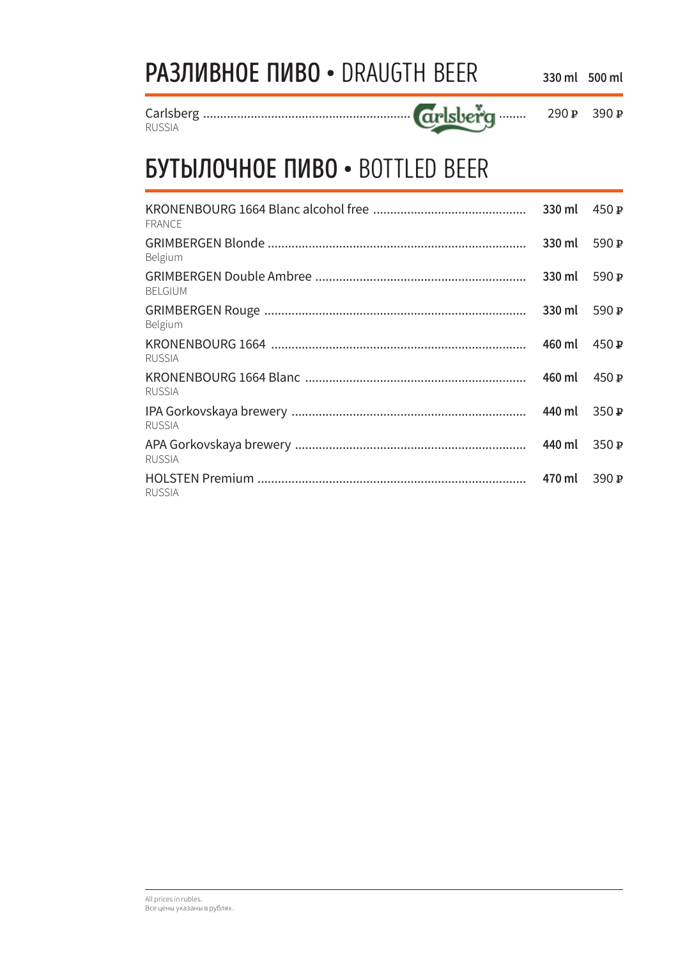| <b>РАЗЛИВНОЕ ПИВО • DRAUGTH BEER</b> | 330 ml 500 ml |  |
|--------------------------------------|---------------|--|
|                                      |               |  |

. . . . . . . .

360 P 390 P

**RUSSIA** 

#### **БУТЫЛОЧНОЕ ПИВО • BOTTLED BEER**

| <b>FRANCE</b>  | 330 ml | 450P  |
|----------------|--------|-------|
| Belgium        | 330 ml | 590P  |
| <b>BELGIUM</b> | 330 ml | 590 P |
| Belgium        | 330 ml | 590P  |
| <b>RUSSIA</b>  | 460 ml | 450P  |
| RUSSIA         | 460 ml | 450P  |
| <b>RUSSIA</b>  | 440 ml | 350P  |
| <b>RUSSIA</b>  | 440 ml | 350P  |
| <b>RUSSIA</b>  |        | 390 P |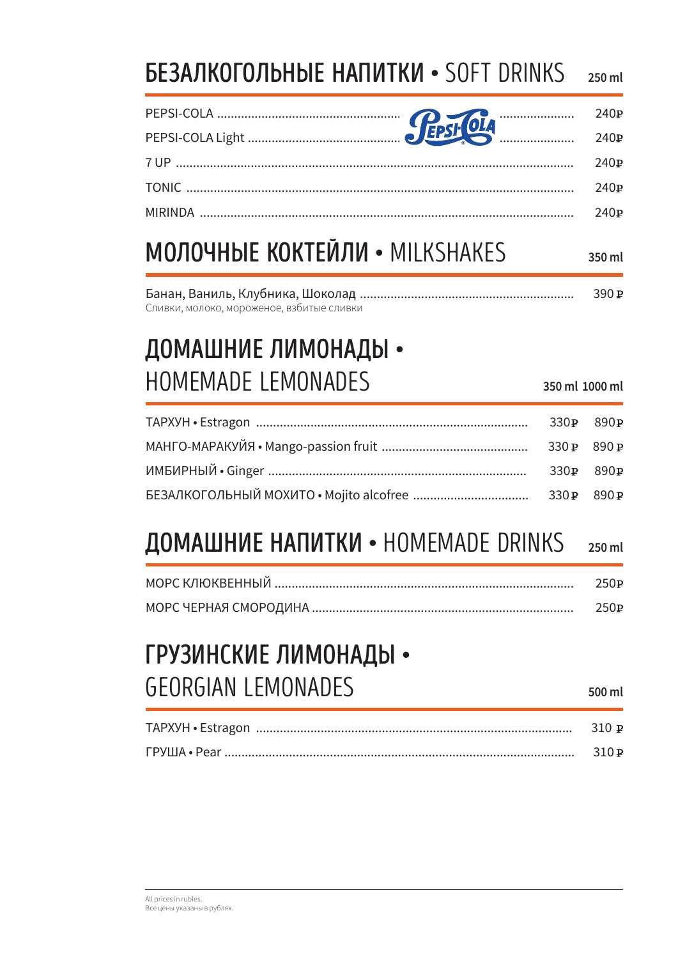#### **БЕЗАЛКОГОЛЬНЫЕ НАПИТКИ • SOFT DRINKS** 250 ml

#### **МОЛОЧНЫЕ КОКТЕЙЛИ • MILKSHAKES** 350 ml

|                                           | 390P |
|-------------------------------------------|------|
| Сливки, молоко, мороженое, взбитые сливки |      |

# ДОМАШНИЕ ЛИМОНАДЫ • HOMEMADE LEMONADES

 $330P$ 890<sub>P</sub>  $330P$ 890<sub>P</sub>  $890P$  $330P$  $330P$ 890<sub>P</sub>

#### ДОМАШНИЕ НАПИТКИ • HOMEMADE DRINKS 250 ml

| 250P  |
|-------|
| 250 P |

#### ГРУЗИНСКИЕ ЛИМОНАДЫ • **GEORGIAN LEMONADES**

500 ml

350 ml 1000 ml

| 310 P   |
|---------|
| $-310P$ |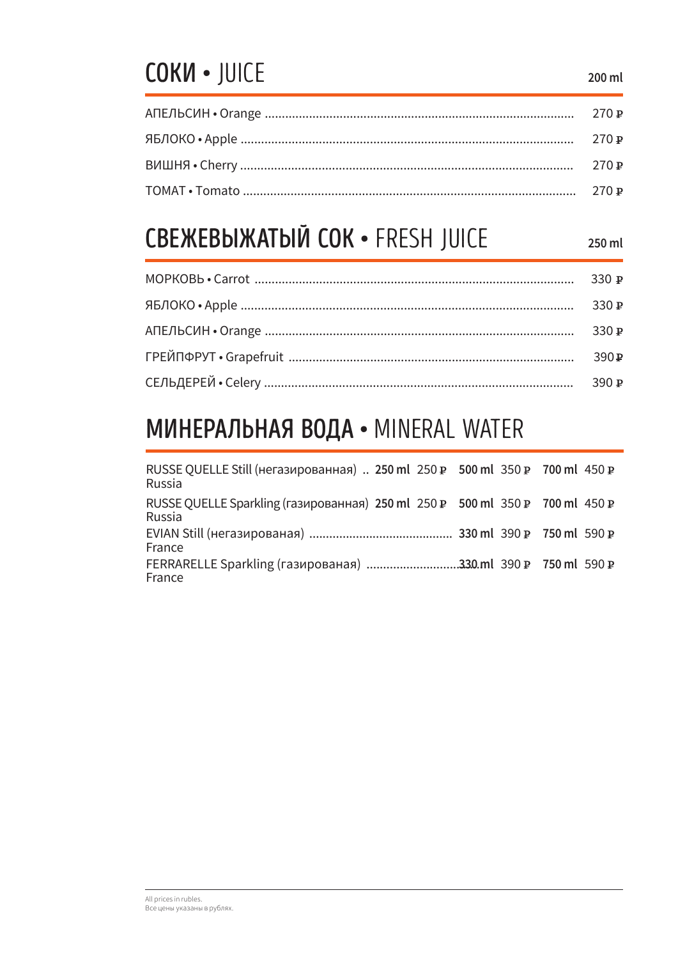# COKN . JUICE

## **СВЕЖЕВЫЖАТЫЙ СОК • FRESH JUICE**

250 ml

| 330P |
|------|
|      |
| 390P |
| 390P |

### МИНЕРАЛЬНАЯ ВОДА • MINERAL WATER

| RUSSE QUELLE Still (негазированная) 250 ml 250 P 500 ml 350 P 700 ml 450 P<br>Russia   |  |  |
|----------------------------------------------------------------------------------------|--|--|
| RUSSE QUELLE Sparkling (газированная) 250 ml 250 P 500 ml 350 P 700 ml 450 P<br>Russia |  |  |
| France                                                                                 |  |  |
| France                                                                                 |  |  |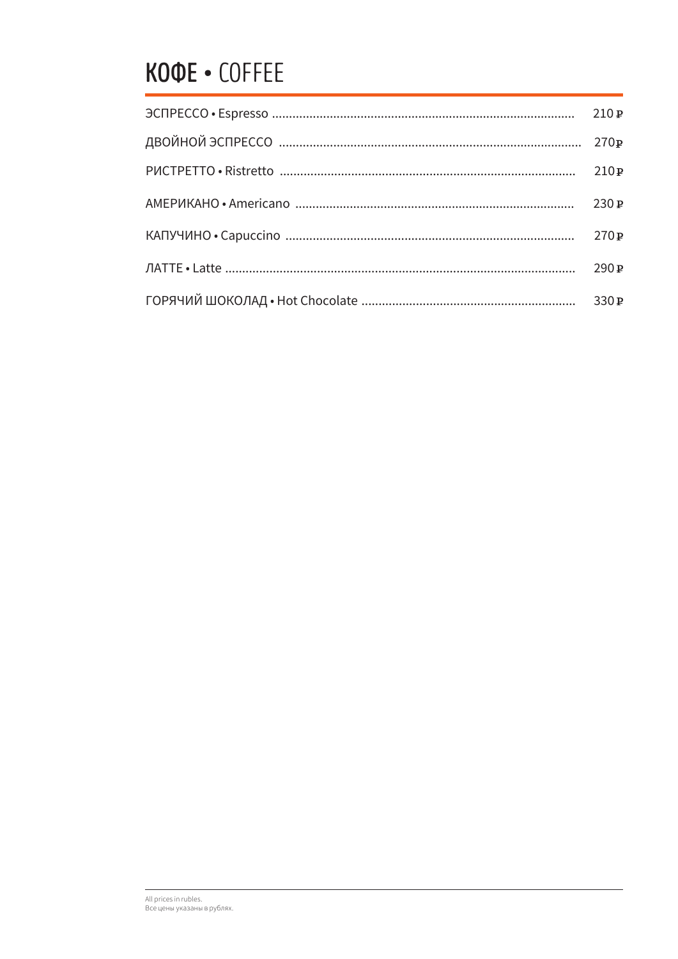# KOOE . COFFEE

| 270P |
|------|
| 210P |
| 230P |
| 270P |
| 290P |
|      |